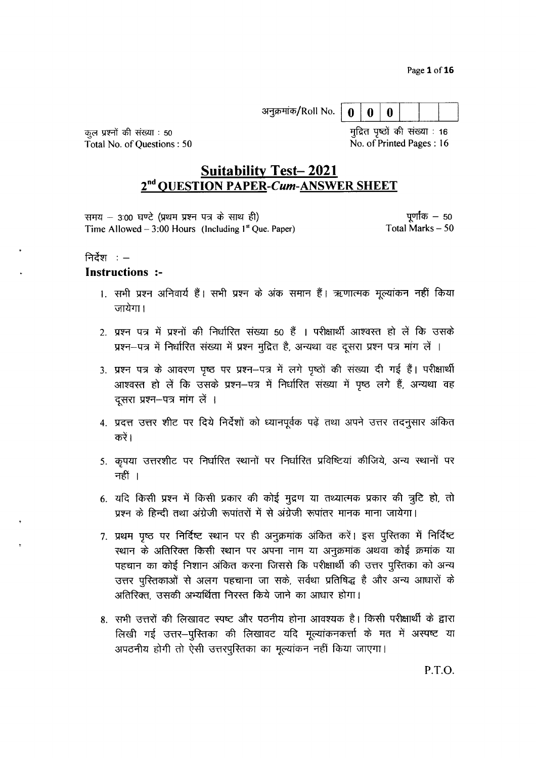Page 1 of 16

|--|--|--|--|--|--|

कूल प्रश्नों की संख्या : 50 Total No. of Ouestions: 50 मुद्रित पृष्ठों की संख्या : 16 No. of Printed Pages: 16

# **Suitability Test-2021** 2<sup>nd</sup> QUESTION PAPER-Cum-ANSWER SHEET

पूर्णांक  $-50$ समय – 3:00 घण्टे (प्रथम प्रश्न पत्र के साथ ही) Total Marks  $-50$ Time Allowed – 3:00 Hours (Including  $1<sup>st</sup>$  Que. Paper)

### निर्देश $: -$

#### **Instructions :-**

- 1. सभी प्रश्न अनिवार्य हैं। सभी प्रश्न के अंक समान हैं। ऋणात्मक मूल्यांकन नहीं किया जायेगा।
- 2. प्रश्न पत्र में प्रश्नों की निर्धारित संख्या 50 हैं । परीक्षार्थी आश्वस्त हो लें कि उसके प्रश्न-पत्र में निर्धारित संख्या में प्रश्न मुद्रित है, अन्यथा वह दूसरा प्रश्न पत्र मांग लें ।
- 3. प्रश्न पत्र के आवरण पृष्ठ पर प्रश्न–पत्र में लगे पृष्ठों की संख्या दी गई हैं। परीक्षार्थी आश्वस्त हो लें कि उसके प्रश्न–पत्र में निर्धारित संख्या में पृष्ठ लगे हैं, अन्यथा वह दूसरा प्रश्न-पत्र मांग लें ।
- 4. प्रदत्त उत्तर शीट पर दिये निर्देशों को ध्यानपूर्वक पढ़ें तथा अपने उत्तर तदनुसार अंकित करें।
- 5. कृपया उत्तरशीट पर निर्धारित स्थानों पर निर्धारित प्रविष्टियां कीजिये, अन्य स्थानों पर नहीं ।
- 6. यदि किसी प्रश्न में किसी प्रकार की कोई मुद्रण या तथ्यात्मक प्रकार की त्रुटि हो, तो प्रश्न के हिन्दी तथा अंग्रेजी रूपांतरों में से अंग्रेजी रूपांतर मानक माना जायेगा।
- 7. प्रथम पृष्ठ पर निर्दिष्ट स्थान पर ही अनुक्रमांक अंकित करें। इस पुस्तिका में निर्दिष्ट स्थान के अतिरिक्त किसी स्थान पर अपना नाम या अनुक्रमांक अथवा कोई क्रमांक या पहचान का कोई निशान अंकित करना जिससे कि परीक्षार्थी की उत्तर पुस्तिका को अन्य उत्तर पुस्तिकाओं से अलग पहचाना जा सके, सर्वथा प्रतिषिद्ध है और अन्य आधारों के अतिरिक्त, उसकी अभ्यर्थिता निरस्त किये जाने का आधार होगा।
- 8. सभी उत्तरों की लिखावट स्पष्ट और पठनीय होना आवश्यक है। किसी परीक्षार्थी के द्वारा लिखी गई उत्तर–पुस्तिका की लिखावट यदि मूल्यांकनकर्त्ता के मत में अस्पष्ट या अपठनीय होगी तो ऐसी उत्तरपुस्तिका का मूल्यांकन नहीं किया जाएगा।

P.T.O.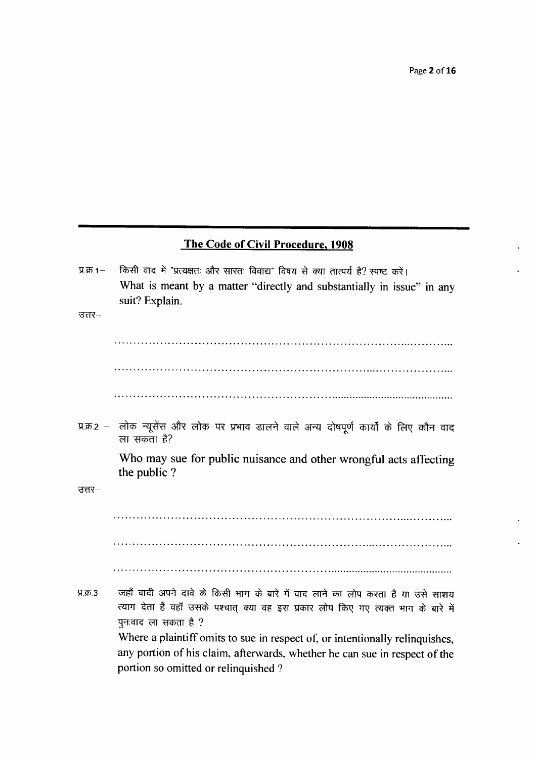Page 2 of 16

## The Code of Civil Procedure, 1908

किसी वाद में "प्रत्यक्षतः और सारतः विवाद्य" विषय से क्या तात्पर्य है? स्पष्ट करें।  $\Pi$ ,  $\overline{p}$ ,  $1-$ What is meant by a matter "directly and substantially in issue" in any suit? Explain.

 $37 -$ 

प्र.क्र.2 - लोक न्यूसेंस और लोक पर प्रभाव डालने वाले अन्य दोषपूर्ण कार्यों के लिए कौन वाद ला सकता है?

> Who may sue for public nuisance and other wrongful acts affecting the public?

उत्तर–

जहाँ वादी अपने दावे के किसी भाग के बारे में वाद लाने का लोप करता है या उसे साशय  $9.55.3 -$ त्याग देता है वहाँ उसके पश्चात् क्या वह इस प्रकार लोप किए गए त्यक्त भाग के बारे में पुनःवाद ला सकता है ? Where a plaintiff omits to sue in respect of, or intentionally relinquishes, any portion of his claim, afterwards, whether he can sue in respect of the portion so omitted or relinquished?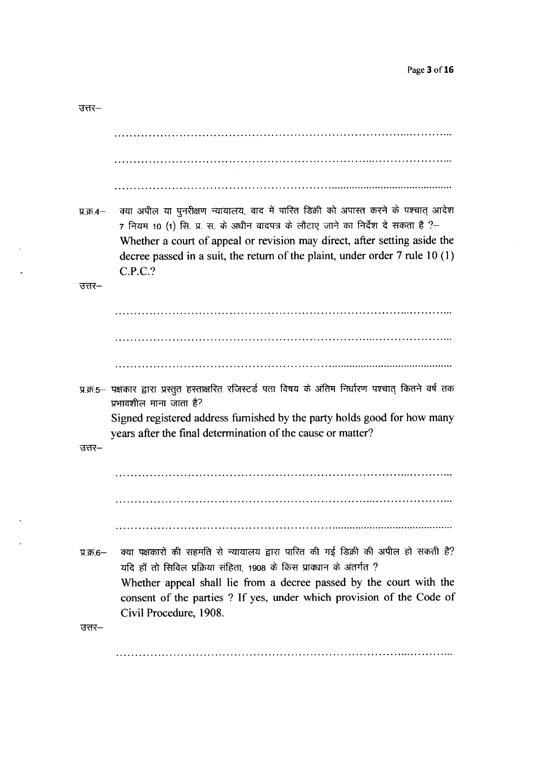| उत्तर–     |                                                                                                                                                                                                                                                                                                                                          |
|------------|------------------------------------------------------------------------------------------------------------------------------------------------------------------------------------------------------------------------------------------------------------------------------------------------------------------------------------------|
|            |                                                                                                                                                                                                                                                                                                                                          |
|            |                                                                                                                                                                                                                                                                                                                                          |
|            |                                                                                                                                                                                                                                                                                                                                          |
| प्र.क्र.4— | क्या अपील या पुनरीक्षण न्यायालय, वाद में पारित डिक्री को अपास्त करने के पश्चात् आदेश<br>7 नियम 10 (1) सि. प्र. स. के अधीन वादपत्र के लौटाए जाने का निर्देश दे सकता है ?-<br>Whether a court of appeal or revision may direct, after setting aside the<br>decree passed in a suit, the return of the plaint, under order $7$ rule $10(1)$ |
| उत्तर–     | C.P.C.?                                                                                                                                                                                                                                                                                                                                  |
|            |                                                                                                                                                                                                                                                                                                                                          |
|            |                                                                                                                                                                                                                                                                                                                                          |
|            |                                                                                                                                                                                                                                                                                                                                          |
|            | प्र.क्र.5— पक्षकार द्वारा प्रस्तुत हस्ताक्षरित रजिस्टर्ड पता विषय के अंतिम निर्धारण पश्चात् कितने वर्ष तक<br>प्रभावशील माना जाता है?                                                                                                                                                                                                     |
|            | Signed registered address furnished by the party holds good for how many<br>years after the final determination of the cause or matter?                                                                                                                                                                                                  |
| उत्तर–     |                                                                                                                                                                                                                                                                                                                                          |
|            |                                                                                                                                                                                                                                                                                                                                          |
|            |                                                                                                                                                                                                                                                                                                                                          |
|            |                                                                                                                                                                                                                                                                                                                                          |
| प्र.क्र.6— | क्या पक्षकारों की सहमति से न्यायालय द्वारा पारित की गई डिक्री की अपील हो सकती है?<br>यदि हाँ तो सिविल प्रक्रिया संहिता, 1908 के किस प्रावधान के अंतर्गत ?<br>Whether appeal shall lie from a decree passed by the court with the<br>consent of the parties ? If yes, under which provision of the Code of<br>Civil Procedure, 1908.      |
| उत्तर–     |                                                                                                                                                                                                                                                                                                                                          |
|            |                                                                                                                                                                                                                                                                                                                                          |

 $\mathcal{L}$ 

 $\ddot{\phantom{a}}$ 

 $\mathbb{Z}^2$ 

 $\mathbb{Z}^2$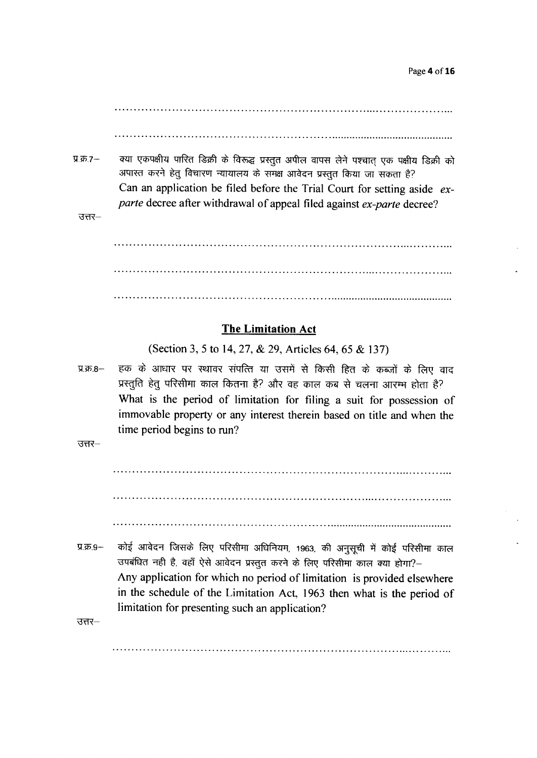क्या एकपक्षीय पारित डिक्री के विरूद्ध प्रस्तुत अपील वापस लेने पश्चात एक पक्षीय डिक्री को  $\Pi$ .क्र.7-अपास्त करने हेतु विचारण न्यायालय के समक्ष आवेदन प्रस्तुत किया जा सकता है? Can an application be filed before the Trial Court for setting aside exparte decree after withdrawal of appeal filed against ex-parte decree?

 $37 -$ 

### **The Limitation Act**

(Section 3, 5 to 14, 27, & 29, Articles 64, 65 & 137)

हक के आधार पर स्थावर संपत्ति या उसमें से किसी हित के कब्जों के लिए वाद प्र.क्र.8-प्रस्तुति हेतु परिसीमा काल कितना है? और वह काल कब से चलना आरम्भ होता है? What is the period of limitation for filing a suit for possession of immovable property or any interest therein based on title and when the time period begins to run?

उत्तर $-$ 

कोई आवेदन जिसके लिए परिसीमा अधिनियम, 1963, की अनुसची में कोई परिसीमा काल प्र.क्र.9-उपबंधित नहीं है, वहाँ ऐसे आवेदन प्रस्तुत करने के लिए परिसीमा काल क्या होगा?-Any application for which no period of limitation is provided elsewhere in the schedule of the Limitation Act, 1963 then what is the period of limitation for presenting such an application?

उत्तर–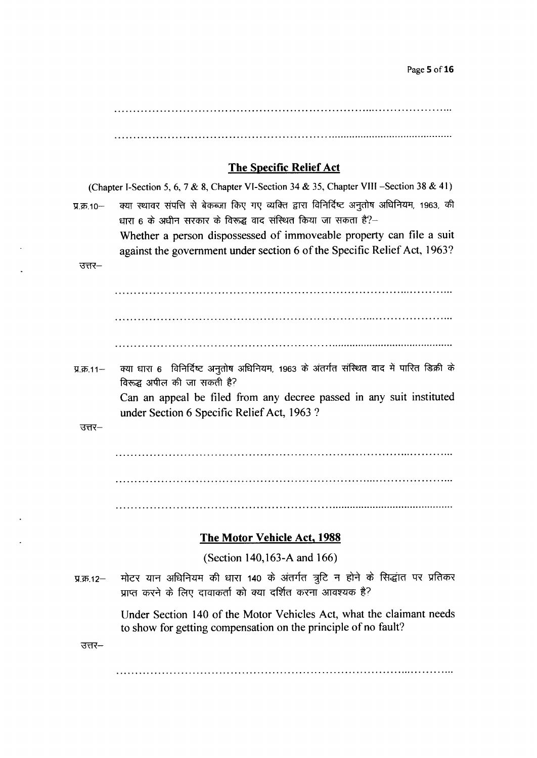Page 5 of 16

## The Specific Relief Act

(Chapter I-Section 5, 6, 7 & 8, Chapter VI-Section 34 & 35, Chapter VIII -Section 38 & 41) प्र.क्र.10- क्या स्थावर संपत्ति से बेकब्जा किए गए व्यक्ति द्वारा विनिर्दिष्ट अनुतोष अधिनियम, 1963, की धारा 6 के अधीन सरकार के विरूद्ध वाद संस्थित किया जा सकता है?– Whether a person dispossessed of immoveable property can file a suit against the government under section 6 of the Specific Relief Act, 1963? उत्तर– प्र.क्र.11- क्या धारा 6 विनिर्दिष्ट अनुतोष अधिनियम, 1963 के अंतर्गत संस्थित वाद में पारित डिक्री के विरूद्ध अपील की जा सकती है? Can an appeal be filed from any decree passed in any suit instituted under Section 6 Specific Relief Act,1963 ?  $37 -$ The Motor Vehicle Act, 1988 (Section 140,163-A and 166) मोटर यान अधिनियम की धारा 140 के अंतर्गत त्रुटि न होने के सिद्धांत पर प्रतिकर  $\Pi.\overline{45}.12-$ प्राप्त करने के लिए दावाकर्ता को क्या दर्शित करना आवश्यक है? Under Section 140 of the Motor Vehicles Act, what the claimant needs to show for getting compensation on the principle of no fault? $37 -$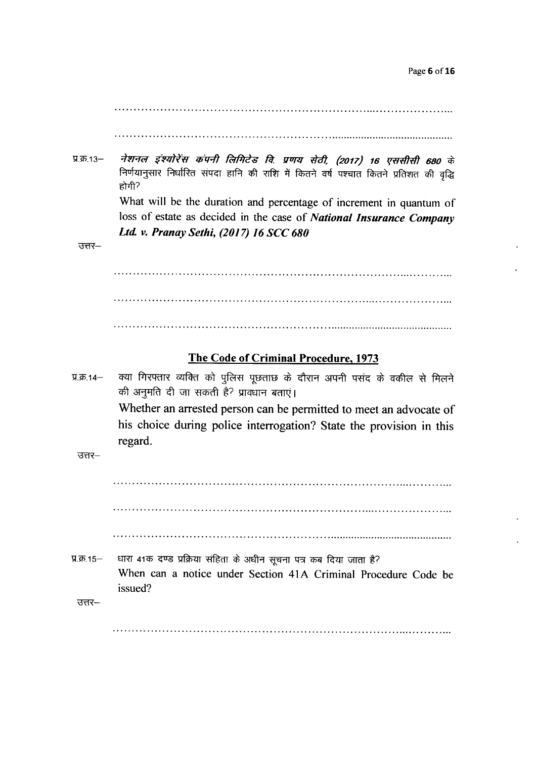$\Pi.\bar{3}5.13-$ नेशनल इंश्योरेंस कंपनी लिमिटेड वि. प्रणय सेठी, (2017) 16 एससीसी 680 के निर्णयानुसार निर्धारित संपदा हानि की राशि में कितने वर्ष पश्चात कितने प्रतिशत की वृद्धि  $\epsilon$ ोगी? What will be the duration and percentage of increment in quantum of loss of estate as decided in the case of National Insurance Company Ltd. v. Pranay Sethi, (2017) 16 SCC 680

 $37 -$ 

#### The Code of Criminal Procedure, 1973

 $\Psi = 14-$ क्या गिरफ्तार व्यक्ति को पुलिस पूछताछ के दौरान अपनी पसंद के वकील से मिलने की अनुमति दी जा सकती है? प्राक्धान बताएं। Whether an arrested person can be permitted to meet an advocate of his choice during police interrogation? State the provision in this regard.

 $\overline{377}$ 

- H.क.15- धारा 41क दण्ड प्रक्रिया संहिता के अधीन सूचना पत्र कब दिया जाता है? When can a notice under Section 41A Criminal Procedure Code be issued?
	- $37 -$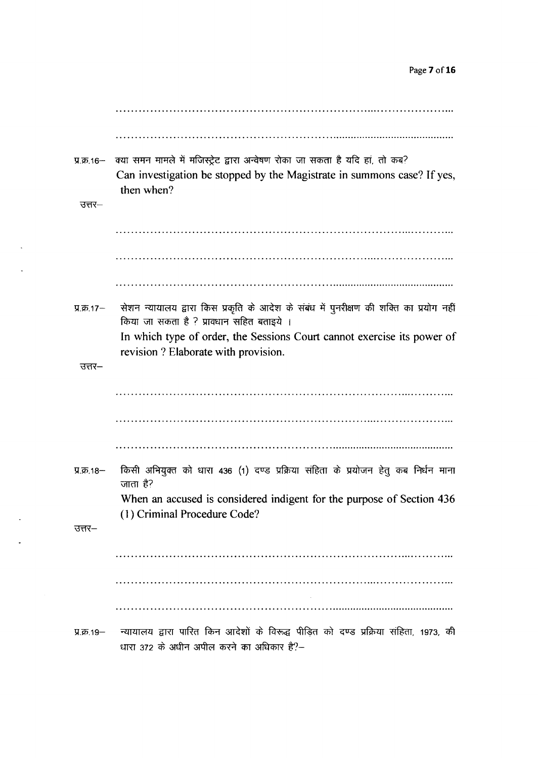| $\Pi.\overline{4}$ 16-<br>उत्तर– | क्या समन मामले में मजिस्ट्रेट द्वारा अन्वेषण रोका जा सकता है यदि हां, तो कब?<br>Can investigation be stopped by the Magistrate in summons case? If yes,<br>then when? |
|----------------------------------|-----------------------------------------------------------------------------------------------------------------------------------------------------------------------|
|                                  |                                                                                                                                                                       |
|                                  |                                                                                                                                                                       |
|                                  |                                                                                                                                                                       |
|                                  |                                                                                                                                                                       |
| प्र.क्र.17-                      | सेशन न्यायालय द्वारा किस प्रकृति के आदेश के संबंध में पुनरीक्षण की शक्ति का प्रयोग नहीं<br>किया जा सकता है ? प्रावधान सहित बताइये ।                                   |
|                                  | In which type of order, the Sessions Court cannot exercise its power of<br>revision ? Elaborate with provision.                                                       |
| उत्तर–                           |                                                                                                                                                                       |
|                                  |                                                                                                                                                                       |
|                                  |                                                                                                                                                                       |
|                                  |                                                                                                                                                                       |
| प्र.क्र.18–                      | किसी अभियुक्त को धारा 436 (1) दण्ड प्रक्रिया संहिता के प्रयोजन हेतु कब निर्धन माना<br>जाता है?                                                                        |
|                                  | When an accused is considered indigent for the purpose of Section 436<br>(1) Criminal Procedure Code?                                                                 |
| उत्तर–                           |                                                                                                                                                                       |
|                                  |                                                                                                                                                                       |
|                                  |                                                                                                                                                                       |
|                                  |                                                                                                                                                                       |
| प्र.क्र. १९—                     | न्यायालय द्वारा पारित किन आदेशों के विरूद्ध पीड़ित को दण्ड प्रक्रिया संहिता, 1973, की<br>धारा 372 के अधीन अपील करने का अधिकार है?-                                    |

 $\sim 10^{-10}$ 

 $\sim 10^{-10}$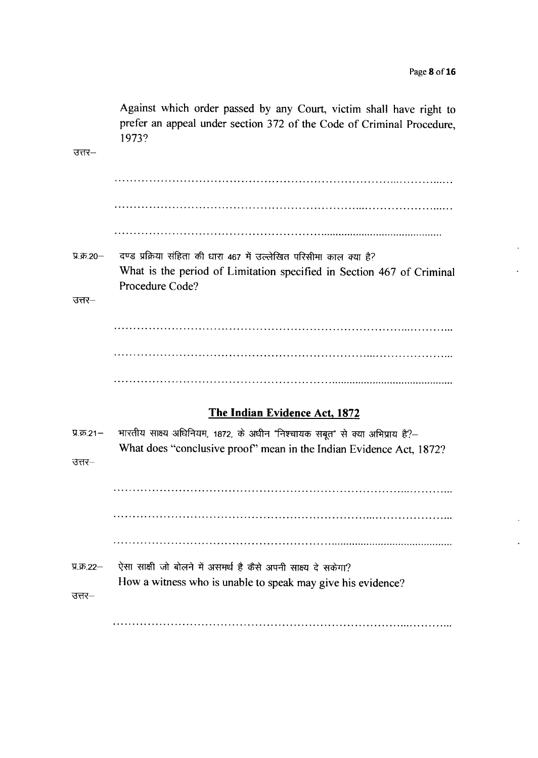Against which order passed by any Court, victim shall have right to prefer an appeal under section 372 of the Code of Criminal Procedure, 1973? उत्तर– दण्ड प्रक्रिया संहिता की धारा 467 में उल्लेखित परिसीमा काल क्या है?  $9.35.20 -$ What is the period of Limitation specified in Section 467 of Criminal Procedure Code?  $37 -$ The Indian Evidence Act, 1872 भारतीय साक्ष्य अधिनियम, 1872, के अधीन "निश्चायक सबूत" से क्या अभिप्राय है?—  $9.55.21 -$ What does "conclusive proof" mean in the Indian Evidence Act, 1872?  $37 -$ ऐसा साक्षी जो बोलने में असमर्थ है कैसे अपनी साक्ष्य दे सकेगा? प्र.क्र.22-

How a witness who is unable to speak may give his evidence?

उत्तर–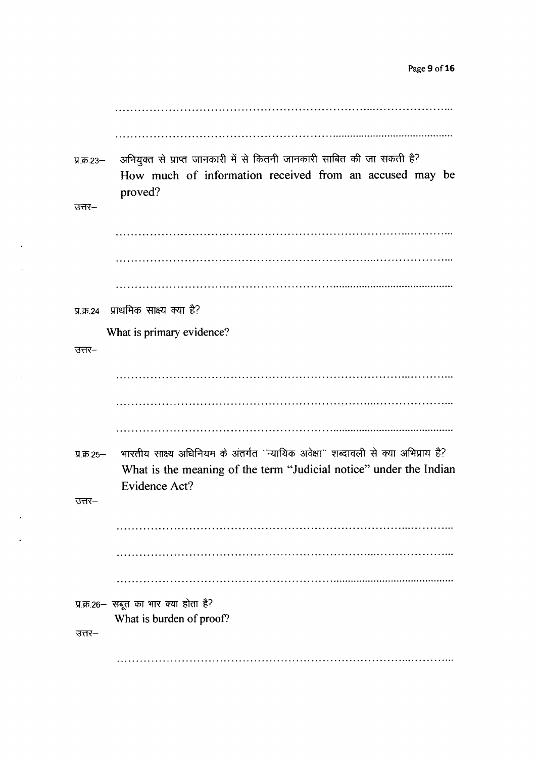| प्र.क्र.23—    | अभियुक्त से प्राप्त जानकारी में से कितनी जानकारी साबित की जा सकती है?<br>How much of information received from an accused may be<br>proved?                              |
|----------------|--------------------------------------------------------------------------------------------------------------------------------------------------------------------------|
| उत्तर–         |                                                                                                                                                                          |
|                |                                                                                                                                                                          |
|                |                                                                                                                                                                          |
|                |                                                                                                                                                                          |
|                | प्र.क.24- प्राथमिक साक्ष्य क्या है?                                                                                                                                      |
|                | What is primary evidence?                                                                                                                                                |
| उत्तर–         |                                                                                                                                                                          |
|                |                                                                                                                                                                          |
|                |                                                                                                                                                                          |
|                |                                                                                                                                                                          |
| $\Pi$ .क्र.25- | भारतीय साक्ष्य अधिनियम के अंतर्गत "न्यायिक अवेक्षा" शब्दावली से क्या अभिप्राय है?<br>What is the meaning of the term "Judicial notice" under the Indian<br>Evidence Act? |
| उत्तर–         |                                                                                                                                                                          |
|                |                                                                                                                                                                          |
|                |                                                                                                                                                                          |
|                |                                                                                                                                                                          |
|                | प्र.क्र.26- सबूत का भार क्या होता है?                                                                                                                                    |
| उत्तर–         | What is burden of proof?                                                                                                                                                 |
|                |                                                                                                                                                                          |

 $\sim$ 

 $\mathcal{L}^{\mathcal{L}}$ 

 $\sim$ 

 $\mathcal{L}^{(1)}$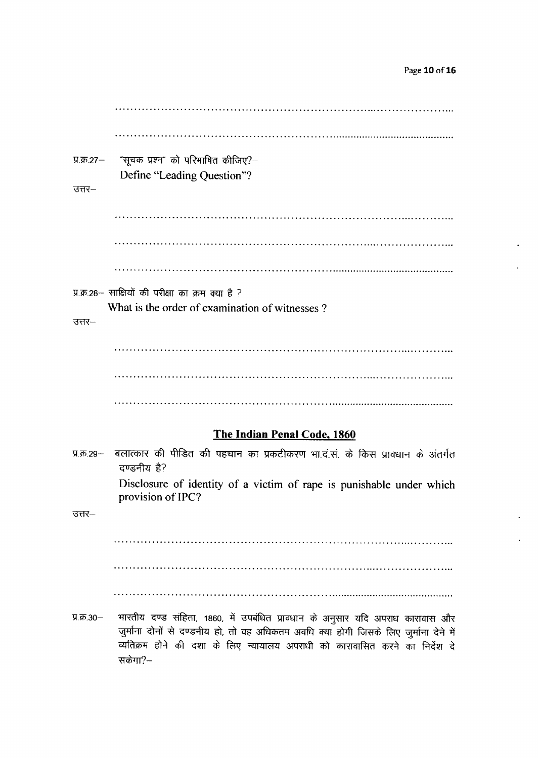प्र.क्र.27-"सूचक प्रश्न" को परिभाषित कीजिए?--Define "Leading Question"?  $37 -$ प्र.क्र.28- साक्षियों की परीक्षा का क्रम क्या है ? What is the order of examination of witnesses?  $37 -$ The Indian Penal Code, 1860 बलात्कार की पीड़ित की पहचान का प्रकटीकरण भा.द.सं. के किस प्रावधान के अंतर्गत प्र.क्र.29— दण्डनीय है? Disclosure of identity of a victim of rape is punishable under which provision of IPC?

 $\overline{377}$ 

भारतीय दण्ड संहिता, 1860, में उपबंधित प्रावधान के अनुसार यदि अपराध कारावास और प्र.क्र.30-जुर्माना दोनों से दण्डनीय हो, तो वह अधिकतम अवधि क्या होगी जिसके लिए जुर्माना देने में व्यतिक्रम होने की दशा के लिए न्यायालय अपराधी को कारावासित करने का निर्देश दे सकेगा?–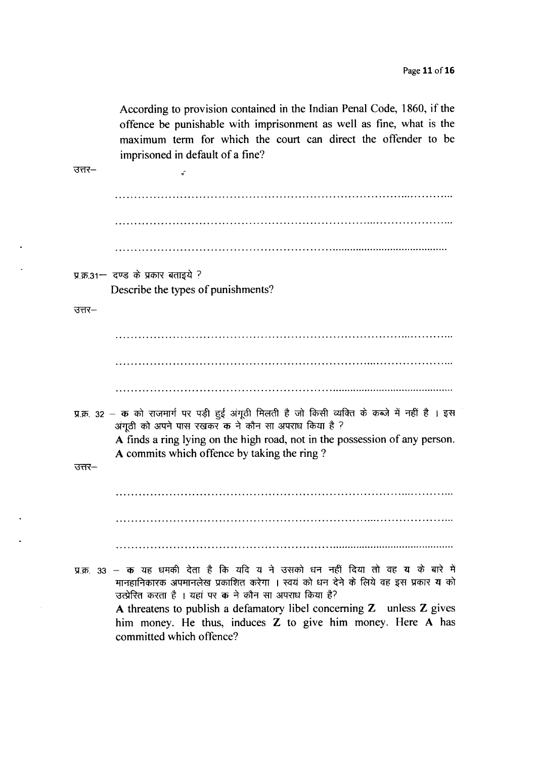According to provision contained in the Indian Penal Code, 1860, if the offence be punishable with imprisonment as well as fine, what is the maximum term for which the court can direct the offender to be imprisoned in default of a fine?  $37$ i. प्र.क्र.31- दण्ड के प्रकार बताइये ? Describe the types of punishments?  $37 -$ प्र.क्र. 32 – क को राजमार्ग पर पड़ी हुई अंगूठी मिलती है जो किसी व्यक्ति के कब्जे में नहीं है । इस अंगूठी को अपने पास रखकर क ने कौन सा अपराध किया है ? A finds a ring lying on the high road, not in the possession of any person. A commits which offence by taking the ring? उत्तर– प्र.क्र. 33 – क यह धमकी देता है कि यदि य ने उसको धन नहीं दिया तो वह य के बारे में मानहानिकारक अपमानलेख प्रकाशित करेगा । स्वयं को धन देने के लिये वह इस प्रकार य को उत्प्रेरित करता है । यहां पर क ने कौन सा अपराध किया है? A threatens to publish a defamatory libel concerning Z unless Z gives him money. He thus, induces Z to give him money. Here A has committed which offence?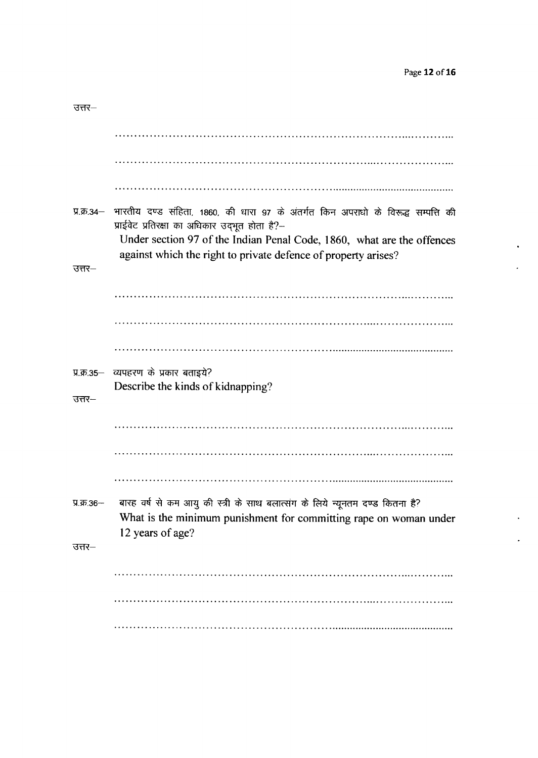| उत्तर—                   |                                                                                                                                                                                                                                                                                 |
|--------------------------|---------------------------------------------------------------------------------------------------------------------------------------------------------------------------------------------------------------------------------------------------------------------------------|
|                          |                                                                                                                                                                                                                                                                                 |
|                          |                                                                                                                                                                                                                                                                                 |
|                          |                                                                                                                                                                                                                                                                                 |
| प्र.क्र.34-              | भारतीय दण्ड संहिता, 1860, की धारा 97 के अंतर्गत किन अपराधो के विरूद्ध सम्पत्ति की<br>प्राईवेट प्रतिरक्षा का अधिकार उद्भूत होता है?-<br>Under section 97 of the Indian Penal Code, 1860, what are the offences<br>against which the right to private defence of property arises? |
| उत्तर–                   |                                                                                                                                                                                                                                                                                 |
|                          |                                                                                                                                                                                                                                                                                 |
|                          |                                                                                                                                                                                                                                                                                 |
|                          |                                                                                                                                                                                                                                                                                 |
| $\Pi$ .क्र.35—<br>उत्तर– | व्यपहरण के प्रकार बताइये?<br>Describe the kinds of kidnapping?                                                                                                                                                                                                                  |
|                          |                                                                                                                                                                                                                                                                                 |
|                          |                                                                                                                                                                                                                                                                                 |
|                          |                                                                                                                                                                                                                                                                                 |
| प्र.क्र.36-<br>उत्तर—    | बारह वर्ष से कम आयु की स्त्री के साथ बलात्संग के लिये न्यूनतम दण्ड कितना है?<br>What is the minimum punishment for committing rape on woman under<br>12 years of age?                                                                                                           |
|                          |                                                                                                                                                                                                                                                                                 |
|                          |                                                                                                                                                                                                                                                                                 |
|                          |                                                                                                                                                                                                                                                                                 |
|                          |                                                                                                                                                                                                                                                                                 |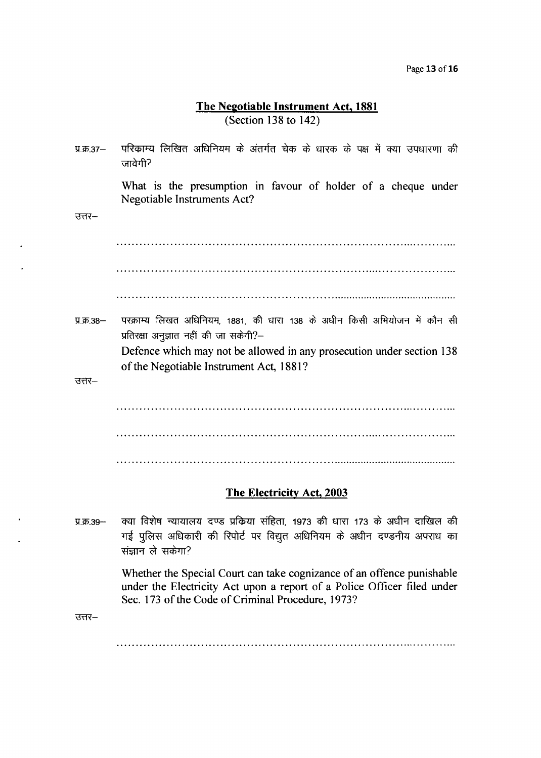#### The Negotiable Instrument Act, 1881 (Section 138 to 142)

- परिकाम्य लिखित अधिनियम के अंतर्गत चेक के धारक के पक्ष में क्या उपधारणा की प्र.क्र. $37-$ जावेगी? What is the presumption in favour of holder of a cheque under Negotiable lnstmments Act?  $37 -$ परक्राम्य लिखत अधिनियम, 1881, की धारा 138 के अधीन किसी अभियोजन में कौन सी प्र.क्र. $38-$ प्रतिरक्षा अनुज्ञात नहीं की जा सकेगी? $-$ Defence which may not be allowed in any prosecution under section 138 of the Negotiable Instrument Act, 1881?  $\overline{377}$ The Electricity Act, 2003
- $\Pi$  के 39 $-$ क्या विशेष न्यायालय दण्ड प्रकिया संहिता, 1973 की धारा 173 के अधीन दाखिल की गई पुलिस अधिकारी की रिपोर्ट पर विद्युत अधिनियम के अधीन दण्डनीय अपराध का संज्ञान ले सकेगा?

Whether the Special Court can take cognizance of an offence punishable under the Electricity Act upon a report of a Police Officer filed under Sec. 173 of the Code of Criminal Procedure, 1973?

 $3<sub>π</sub>$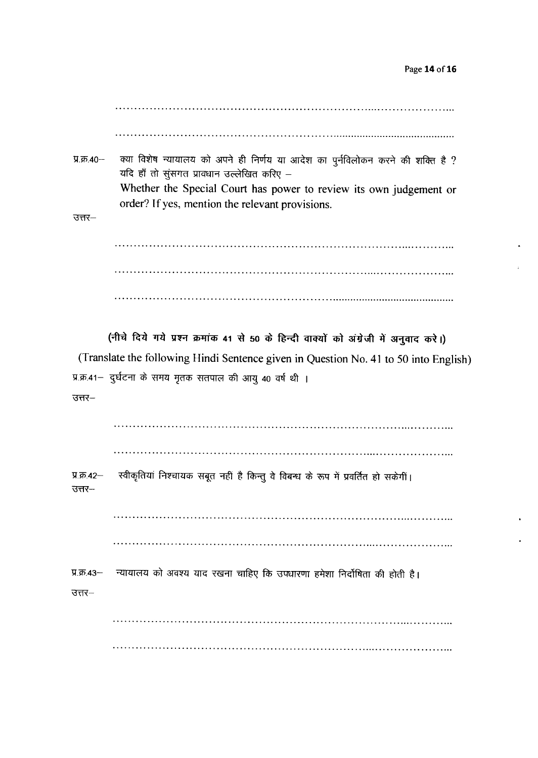क्या विशेष न्यायालय को अपने ही निर्णय या आदेश का पुर्नविलोकन करने की शक्ति है ?  $9.55.40 -$ यदि हाँ तो सूंसगत प्रावधान उल्लेखित करिए – Whether the Special Court has power to review its own judgement or order? If yes, mention the relevant provisions.

 $37 -$ 

(नीचे दिये गये प्रश्न क्रमांक 41 से 50 के हिन्दी वाक्यों को अंग्रेजी में अनुवाद करे।) (Translate the following Hindi Sentence given in Question No. 41 to 50 into English) प्र.क्र.41- दुर्घटना के समय मृतक सतपाल की आयु 40 वर्ष थी ।

 $37 -$ 

स्वीकृतियां निश्चायक सबूत नहीं है किन्तु वे विबन्ध के रूप में प्रवर्तित हो सकेगीं। प्र.क्र.42- $37 -$ 

न्यायालय को अवश्य याद रखना चाहिए कि उपधारणा हमेशा निर्दोषिता की होती है। प्र.क्र.43—  $37 -$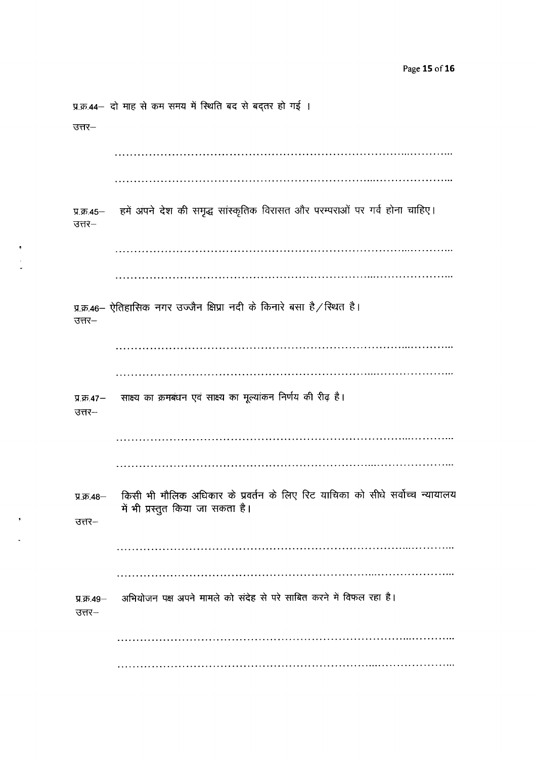प्र.क्र.44- दो माह से कम समय में स्थिति बद से बद्तर हो गई ।  $37 -$ हमें अपने देश की समृद्ध सांस्कृतिक विरासत और परम्पराओं पर गर्व होना चाहिए। प्र.क्र.45 $377 -$ प्र.क्र.46- ऐतिहासिक नगर उज्जैन क्षिप्रा नदी के किनारे बसा है/स्थित है। उत्तर– साक्ष्य का क्रमबंधन एवं साक्ष्य का मूल्यांकन निर्णय की रीढ़ है। प्र.क्र.47-उत्तर– किसी भी मौलिक अधिकार के प्रवर्तन के लिए रिट याचिका को सीधे सर्वोच्च न्यायालय प्र.क्र. 48-में भी प्रस्तुत किया जा सकता है।  $37 -$ अभियोजन पक्ष अपने मामले को संदेह से परे साबित करने में विफल रहा है। प्र.क्र. $49 37 -$